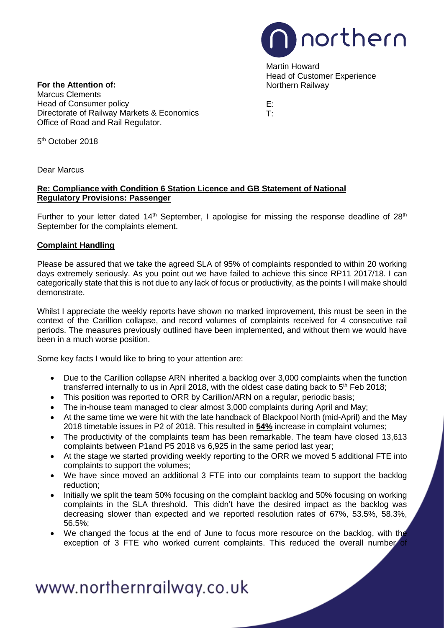

Martin Howard Head of Customer Experience

**For the Attention of: Northern Railway** Marcus Clements Head of Consumer policy end of Consumer policy end of E:<br>Directorate of Railway Markets & Economics end of Theorem Directorate of Railway Markets & Economics Office of Road and Rail Regulator.

5th October 2018

Dear Marcus

### **Re: Compliance with Condition 6 Station Licence and GB Statement of National Regulatory Provisions: Passenger**

Further to your letter dated  $14<sup>th</sup>$  September, I apologise for missing the response deadline of  $28<sup>th</sup>$ September for the complaints element.

## **Complaint Handling**

Please be assured that we take the agreed SLA of 95% of complaints responded to within 20 working days extremely seriously. As you point out we have failed to achieve this since RP11 2017/18. I can categorically state that this is not due to any lack of focus or productivity, as the points I will make should demonstrate.

Whilst I appreciate the weekly reports have shown no marked improvement, this must be seen in the context of the Carillion collapse, and record volumes of complaints received for 4 consecutive rail periods. The measures previously outlined have been implemented, and without them we would have been in a much worse position.

Some key facts I would like to bring to your attention are:

- Due to the Carillion collapse ARN inherited a backlog over 3,000 complaints when the function transferred internally to us in April 2018, with the oldest case dating back to  $5<sup>th</sup>$  Feb 2018;
- This position was reported to ORR by Carillion/ARN on a regular, periodic basis;
- The in-house team managed to clear almost 3,000 complaints during April and May;
- At the same time we were hit with the late handback of Blackpool North (mid-April) and the May 2018 timetable issues in P2 of 2018. This resulted in **54%** increase in complaint volumes;
- The productivity of the complaints team has been remarkable. The team have closed 13,613 complaints between P1and P5 2018 vs 6,925 in the same period last year;
- At the stage we started providing weekly reporting to the ORR we moved 5 additional FTE into complaints to support the volumes;
- We have since moved an additional 3 FTE into our complaints team to support the backlog reduction;
- Initially we split the team 50% focusing on the complaint backlog and 50% focusing on working complaints in the SLA threshold. This didn't have the desired impact as the backlog was decreasing slower than expected and we reported resolution rates of 67%, 53.5%, 58.3%, 56.5%;
- We changed the focus at the end of June to focus more resource on the backlog, with the exception of 3 FTE who worked current complaints. This reduced the overall number

# www.northernrailway.co.uk